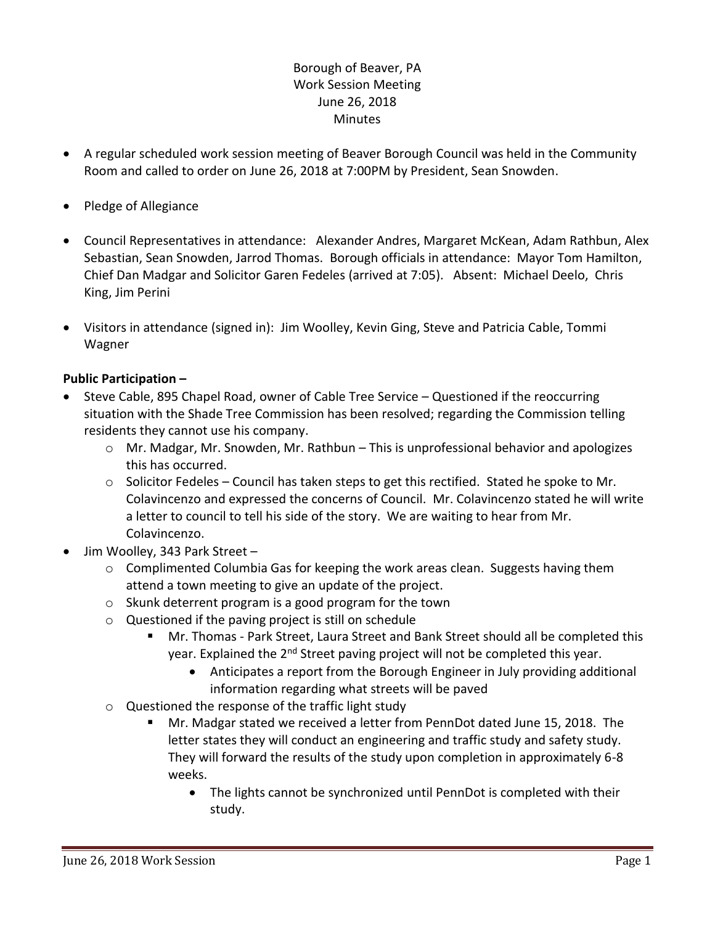## Borough of Beaver, PA Work Session Meeting June 26, 2018 **Minutes**

- A regular scheduled work session meeting of Beaver Borough Council was held in the Community Room and called to order on June 26, 2018 at 7:00PM by President, Sean Snowden.
- Pledge of Allegiance
- Council Representatives in attendance: Alexander Andres, Margaret McKean, Adam Rathbun, Alex Sebastian, Sean Snowden, Jarrod Thomas. Borough officials in attendance: Mayor Tom Hamilton, Chief Dan Madgar and Solicitor Garen Fedeles (arrived at 7:05). Absent: Michael Deelo, Chris King, Jim Perini
- Visitors in attendance (signed in): Jim Woolley, Kevin Ging, Steve and Patricia Cable, Tommi Wagner

## **Public Participation –**

- Steve Cable, 895 Chapel Road, owner of Cable Tree Service Questioned if the reoccurring situation with the Shade Tree Commission has been resolved; regarding the Commission telling residents they cannot use his company.
	- $\circ$  Mr. Madgar, Mr. Snowden, Mr. Rathbun This is unprofessional behavior and apologizes this has occurred.
	- o Solicitor Fedeles Council has taken steps to get this rectified. Stated he spoke to Mr. Colavincenzo and expressed the concerns of Council. Mr. Colavincenzo stated he will write a letter to council to tell his side of the story. We are waiting to hear from Mr. Colavincenzo.
- Jim Woolley, 343 Park Street
	- o Complimented Columbia Gas for keeping the work areas clean. Suggests having them attend a town meeting to give an update of the project.
	- o Skunk deterrent program is a good program for the town
	- o Questioned if the paving project is still on schedule
		- Mr. Thomas Park Street, Laura Street and Bank Street should all be completed this year. Explained the 2<sup>nd</sup> Street paving project will not be completed this year.
			- Anticipates a report from the Borough Engineer in July providing additional information regarding what streets will be paved
	- o Questioned the response of the traffic light study
		- Mr. Madgar stated we received a letter from PennDot dated June 15, 2018. The letter states they will conduct an engineering and traffic study and safety study. They will forward the results of the study upon completion in approximately 6-8 weeks.
			- The lights cannot be synchronized until PennDot is completed with their study.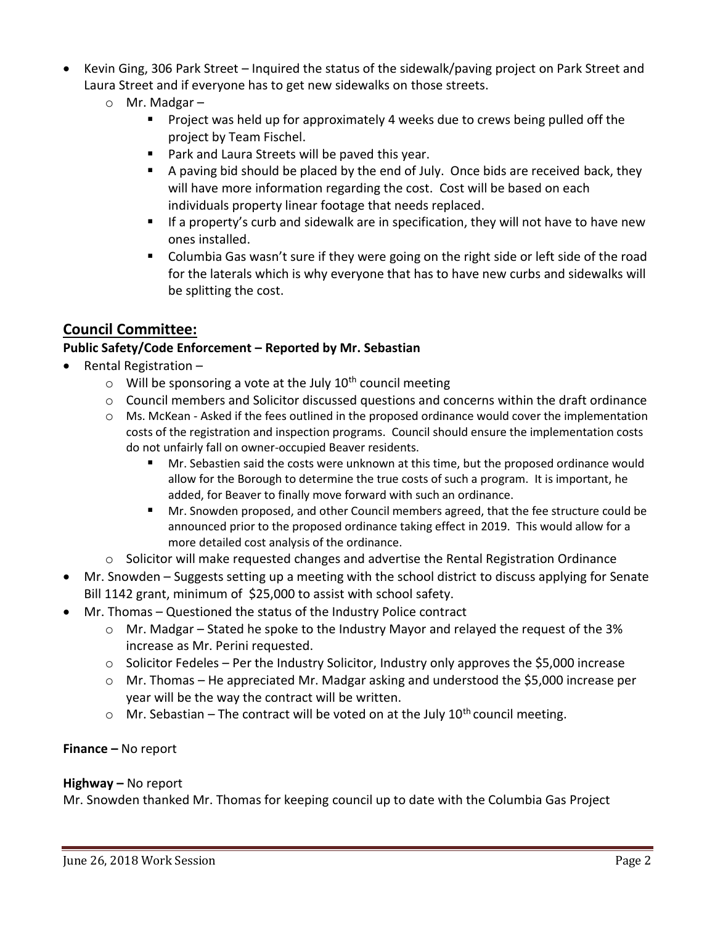- Kevin Ging, 306 Park Street Inquired the status of the sidewalk/paving project on Park Street and Laura Street and if everyone has to get new sidewalks on those streets.
	- o Mr. Madgar
		- **Project was held up for approximately 4 weeks due to crews being pulled off the** project by Team Fischel.
		- **Park and Laura Streets will be paved this year.**
		- A paving bid should be placed by the end of July. Once bids are received back, they will have more information regarding the cost. Cost will be based on each individuals property linear footage that needs replaced.
		- **If a property's curb and sidewalk are in specification, they will not have to have new** ones installed.
		- **Columbia Gas wasn't sure if they were going on the right side or left side of the road** for the laterals which is why everyone that has to have new curbs and sidewalks will be splitting the cost.

# **Council Committee:**

# **Public Safety/Code Enforcement – Reported by Mr. Sebastian**

- Rental Registration
	- $\circ$  Will be sponsoring a vote at the July 10<sup>th</sup> council meeting
	- $\circ$  Council members and Solicitor discussed questions and concerns within the draft ordinance
	- o Ms. McKean Asked if the fees outlined in the proposed ordinance would cover the implementation costs of the registration and inspection programs. Council should ensure the implementation costs do not unfairly fall on owner-occupied Beaver residents.
		- Mr. Sebastien said the costs were unknown at this time, but the proposed ordinance would allow for the Borough to determine the true costs of such a program. It is important, he added, for Beaver to finally move forward with such an ordinance.
		- Mr. Snowden proposed, and other Council members agreed, that the fee structure could be announced prior to the proposed ordinance taking effect in 2019. This would allow for a more detailed cost analysis of the ordinance.
	- o Solicitor will make requested changes and advertise the Rental Registration Ordinance
- Mr. Snowden Suggests setting up a meeting with the school district to discuss applying for Senate Bill 1142 grant, minimum of \$25,000 to assist with school safety.
- Mr. Thomas Questioned the status of the Industry Police contract
	- o Mr. Madgar Stated he spoke to the Industry Mayor and relayed the request of the 3% increase as Mr. Perini requested.
	- $\circ$  Solicitor Fedeles Per the Industry Solicitor, Industry only approves the \$5,000 increase
	- o Mr. Thomas He appreciated Mr. Madgar asking and understood the \$5,000 increase per year will be the way the contract will be written.
	- $\circ$  Mr. Sebastian The contract will be voted on at the July 10<sup>th</sup> council meeting.

**Finance –** No report

#### **Highway –** No report

Mr. Snowden thanked Mr. Thomas for keeping council up to date with the Columbia Gas Project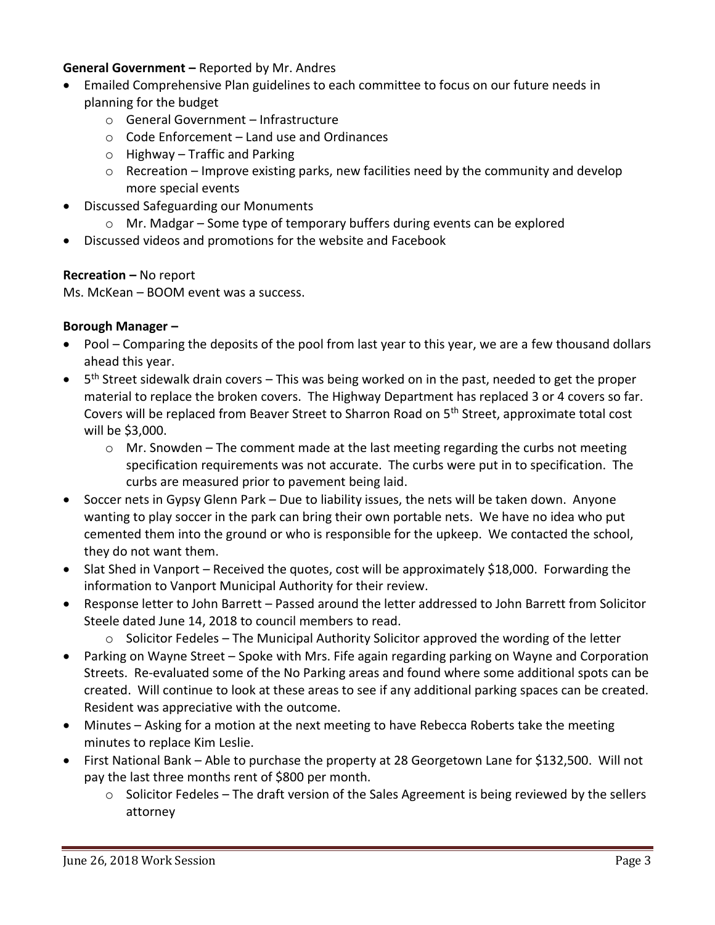#### **General Government –** Reported by Mr. Andres

- Emailed Comprehensive Plan guidelines to each committee to focus on our future needs in planning for the budget
	- o General Government Infrastructure
	- o Code Enforcement Land use and Ordinances
	- o Highway Traffic and Parking
	- $\circ$  Recreation Improve existing parks, new facilities need by the community and develop more special events
- Discussed Safeguarding our Monuments
	- o Mr. Madgar Some type of temporary buffers during events can be explored
- Discussed videos and promotions for the website and Facebook

#### **Recreation –** No report

Ms. McKean – BOOM event was a success.

#### **Borough Manager –**

- Pool Comparing the deposits of the pool from last year to this year, we are a few thousand dollars ahead this year.
- $\bullet$  5<sup>th</sup> Street sidewalk drain covers This was being worked on in the past, needed to get the proper material to replace the broken covers. The Highway Department has replaced 3 or 4 covers so far. Covers will be replaced from Beaver Street to Sharron Road on 5<sup>th</sup> Street, approximate total cost will be \$3,000.
	- $\circ$  Mr. Snowden The comment made at the last meeting regarding the curbs not meeting specification requirements was not accurate. The curbs were put in to specification. The curbs are measured prior to pavement being laid.
- Soccer nets in Gypsy Glenn Park Due to liability issues, the nets will be taken down. Anyone wanting to play soccer in the park can bring their own portable nets. We have no idea who put cemented them into the ground or who is responsible for the upkeep. We contacted the school, they do not want them.
- Slat Shed in Vanport Received the quotes, cost will be approximately \$18,000. Forwarding the information to Vanport Municipal Authority for their review.
- Response letter to John Barrett Passed around the letter addressed to John Barrett from Solicitor Steele dated June 14, 2018 to council members to read.
	- $\circ$  Solicitor Fedeles The Municipal Authority Solicitor approved the wording of the letter
- Parking on Wayne Street Spoke with Mrs. Fife again regarding parking on Wayne and Corporation Streets. Re-evaluated some of the No Parking areas and found where some additional spots can be created. Will continue to look at these areas to see if any additional parking spaces can be created. Resident was appreciative with the outcome.
- Minutes Asking for a motion at the next meeting to have Rebecca Roberts take the meeting minutes to replace Kim Leslie.
- First National Bank Able to purchase the property at 28 Georgetown Lane for \$132,500. Will not pay the last three months rent of \$800 per month.
	- $\circ$  Solicitor Fedeles The draft version of the Sales Agreement is being reviewed by the sellers attorney